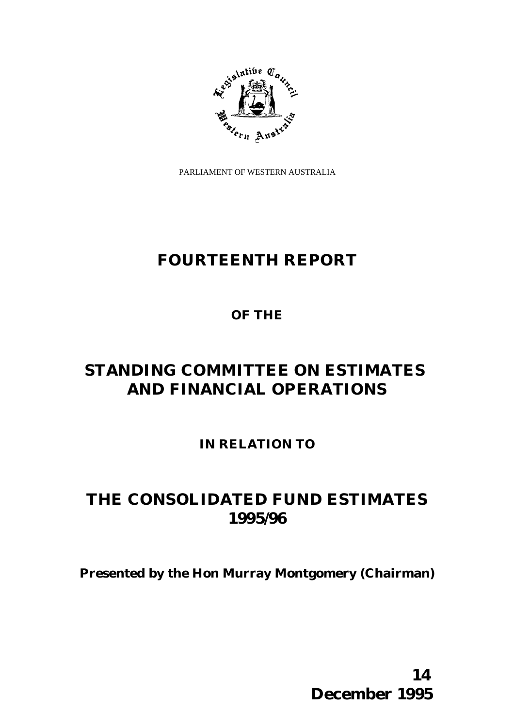

PARLIAMENT OF WESTERN AUSTRALIA

# **FOURTEENTH REPORT**

# **OF THE**

# **STANDING COMMITTEE ON ESTIMATES AND FINANCIAL OPERATIONS**

**IN RELATION TO**

# **THE CONSOLIDATED FUND ESTIMATES 1995/96**

**Presented by the Hon Murray Montgomery (Chairman)**

 **14 December 1995**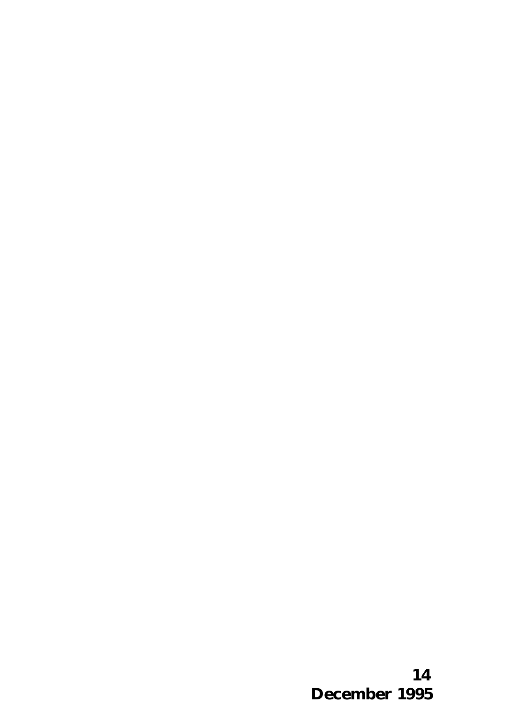**14 December 1995**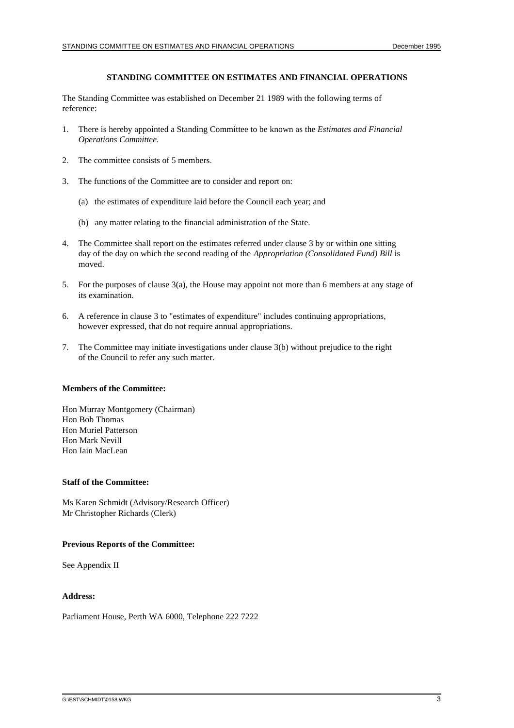#### **STANDING COMMITTEE ON ESTIMATES AND FINANCIAL OPERATIONS**

The Standing Committee was established on December 21 1989 with the following terms of reference:

- 1. There is hereby appointed a Standing Committee to be known as the *Estimates and Financial Operations Committee.*
- 2. The committee consists of 5 members.
- 3. The functions of the Committee are to consider and report on:
	- (a) the estimates of expenditure laid before the Council each year; and
	- (b) any matter relating to the financial administration of the State.
- 4. The Committee shall report on the estimates referred under clause 3 by or within one sitting day of the day on which the second reading of the *Appropriation (Consolidated Fund) Bill* is moved.
- 5. For the purposes of clause 3(a), the House may appoint not more than 6 members at any stage of its examination.
- 6. A reference in clause 3 to "estimates of expenditure" includes continuing appropriations, however expressed, that do not require annual appropriations.
- 7. The Committee may initiate investigations under clause 3(b) without prejudice to the right of the Council to refer any such matter.

#### **Members of the Committee:**

Hon Murray Montgomery (Chairman) Hon Bob Thomas Hon Muriel Patterson Hon Mark Nevill Hon Iain MacLean

#### **Staff of the Committee:**

Ms Karen Schmidt (Advisory/Research Officer) Mr Christopher Richards (Clerk)

#### **Previous Reports of the Committee:**

See Appendix II

#### **Address:**

Parliament House, Perth WA 6000, Telephone 222 7222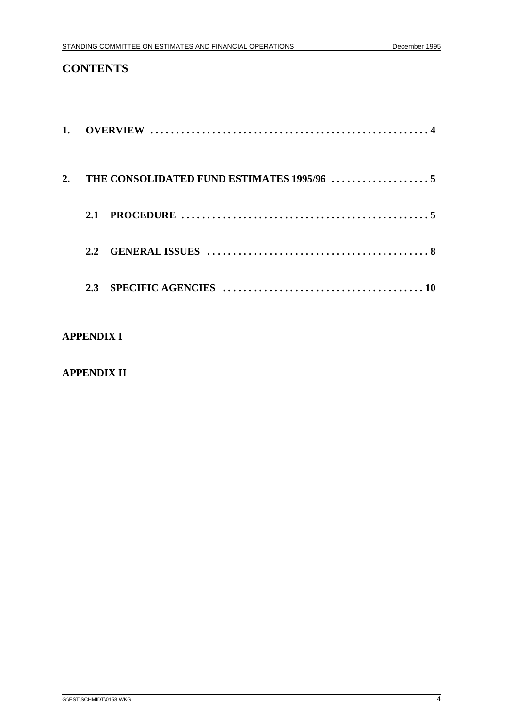# **CONTENTS**

| PROCEDURE $\ldots \ldots \ldots \ldots \ldots \ldots \ldots \ldots \ldots \ldots \ldots \ldots \ldots$<br>2.1 |
|---------------------------------------------------------------------------------------------------------------|
| $2.2^{\circ}$                                                                                                 |
|                                                                                                               |

# **APPENDIX I**

# **APPENDIX II**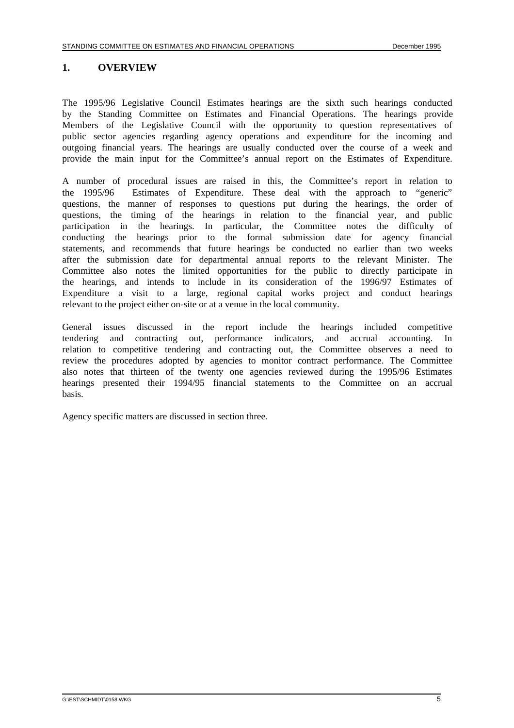# **1. OVERVIEW**

The 1995/96 Legislative Council Estimates hearings are the sixth such hearings conducted by the Standing Committee on Estimates and Financial Operations. The hearings provide Members of the Legislative Council with the opportunity to question representatives of public sector agencies regarding agency operations and expenditure for the incoming and outgoing financial years. The hearings are usually conducted over the course of a week and provide the main input for the Committee's annual report on the Estimates of Expenditure.

A number of procedural issues are raised in this, the Committee's report in relation to the 1995/96 Estimates of Expenditure. These deal with the approach to "generic" questions, the manner of responses to questions put during the hearings, the order of questions, the timing of the hearings in relation to the financial year, and public participation in the hearings. In particular, the Committee notes the difficulty of conducting the hearings prior to the formal submission date for agency financial statements, and recommends that future hearings be conducted no earlier than two weeks after the submission date for departmental annual reports to the relevant Minister. The Committee also notes the limited opportunities for the public to directly participate in the hearings, and intends to include in its consideration of the 1996/97 Estimates of Expenditure a visit to a large, regional capital works project and conduct hearings relevant to the project either on-site or at a venue in the local community.

General issues discussed in the report include the hearings included competitive tendering and contracting out, performance indicators, and accrual accounting. In relation to competitive tendering and contracting out, the Committee observes a need to review the procedures adopted by agencies to monitor contract performance. The Committee also notes that thirteen of the twenty one agencies reviewed during the 1995/96 Estimates hearings presented their 1994/95 financial statements to the Committee on an accrual basis.

Agency specific matters are discussed in section three.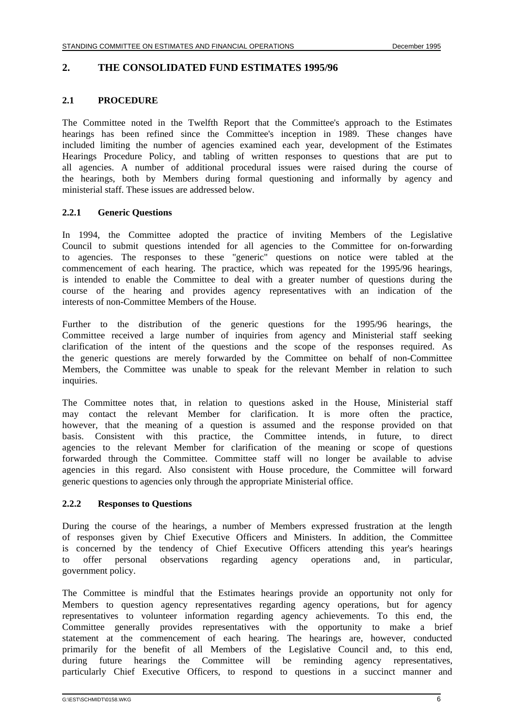#### **2. THE CONSOLIDATED FUND ESTIMATES 1995/96**

#### **2.1 PROCEDURE**

The Committee noted in the Twelfth Report that the Committee's approach to the Estimates hearings has been refined since the Committee's inception in 1989. These changes have included limiting the number of agencies examined each year, development of the Estimates Hearings Procedure Policy, and tabling of written responses to questions that are put to all agencies. A number of additional procedural issues were raised during the course of the hearings, both by Members during formal questioning and informally by agency and ministerial staff. These issues are addressed below.

### **2.2.1 Generic Questions**

In 1994, the Committee adopted the practice of inviting Members of the Legislative Council to submit questions intended for all agencies to the Committee for on-forwarding to agencies. The responses to these "generic" questions on notice were tabled at the commencement of each hearing. The practice, which was repeated for the 1995/96 hearings, is intended to enable the Committee to deal with a greater number of questions during the course of the hearing and provides agency representatives with an indication of the interests of non-Committee Members of the House.

Further to the distribution of the generic questions for the 1995/96 hearings, the Committee received a large number of inquiries from agency and Ministerial staff seeking clarification of the intent of the questions and the scope of the responses required. As the generic questions are merely forwarded by the Committee on behalf of non-Committee Members, the Committee was unable to speak for the relevant Member in relation to such inquiries.

The Committee notes that, in relation to questions asked in the House, Ministerial staff may contact the relevant Member for clarification. It is more often the practice, however, that the meaning of a question is assumed and the response provided on that basis. Consistent with this practice, the Committee intends, in future, to direct agencies to the relevant Member for clarification of the meaning or scope of questions forwarded through the Committee. Committee staff will no longer be available to advise agencies in this regard. Also consistent with House procedure, the Committee will forward generic questions to agencies only through the appropriate Ministerial office.

#### **2.2.2 Responses to Questions**

During the course of the hearings, a number of Members expressed frustration at the length of responses given by Chief Executive Officers and Ministers. In addition, the Committee is concerned by the tendency of Chief Executive Officers attending this year's hearings to offer personal observations regarding agency operations and, in particular, government policy.

The Committee is mindful that the Estimates hearings provide an opportunity not only for Members to question agency representatives regarding agency operations, but for agency representatives to volunteer information regarding agency achievements. To this end, the Committee generally provides representatives with the opportunity to make a brief statement at the commencement of each hearing. The hearings are, however, conducted primarily for the benefit of all Members of the Legislative Council and, to this end, during future hearings the Committee will be reminding agency representatives, particularly Chief Executive Officers, to respond to questions in a succinct manner and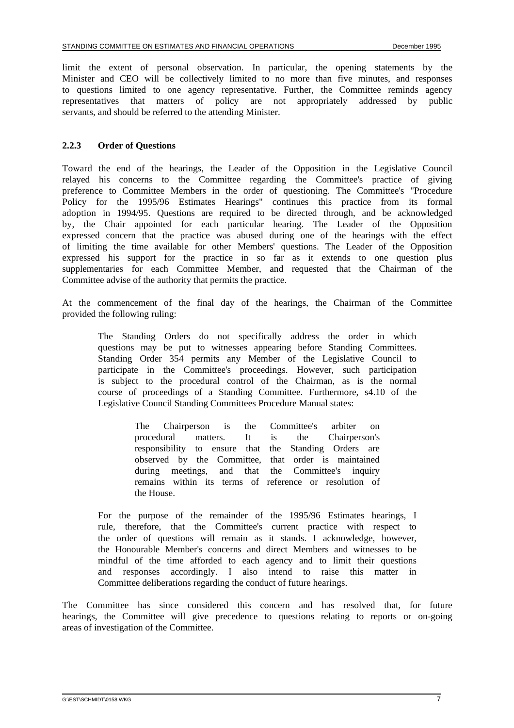limit the extent of personal observation. In particular, the opening statements by the Minister and CEO will be collectively limited to no more than five minutes, and responses to questions limited to one agency representative. Further, the Committee reminds agency representatives that matters of policy are not appropriately addressed by public servants, and should be referred to the attending Minister.

#### **2.2.3 Order of Questions**

Toward the end of the hearings, the Leader of the Opposition in the Legislative Council relayed his concerns to the Committee regarding the Committee's practice of giving preference to Committee Members in the order of questioning. The Committee's "Procedure Policy for the 1995/96 Estimates Hearings" continues this practice from its formal adoption in 1994/95. Questions are required to be directed through, and be acknowledged by, the Chair appointed for each particular hearing. The Leader of the Opposition expressed concern that the practice was abused during one of the hearings with the effect of limiting the time available for other Members' questions. The Leader of the Opposition expressed his support for the practice in so far as it extends to one question plus supplementaries for each Committee Member, and requested that the Chairman of the Committee advise of the authority that permits the practice.

At the commencement of the final day of the hearings, the Chairman of the Committee provided the following ruling:

The Standing Orders do not specifically address the order in which questions may be put to witnesses appearing before Standing Committees. Standing Order 354 permits any Member of the Legislative Council to participate in the Committee's proceedings. However, such participation is subject to the procedural control of the Chairman, as is the normal course of proceedings of a Standing Committee. Furthermore, s4.10 of the Legislative Council Standing Committees Procedure Manual states:

> The Chairperson is the Committee's arbiter on procedural matters. It is the Chairperson's responsibility to ensure that the Standing Orders are observed by the Committee, that order is maintained during meetings, and that the Committee's inquiry remains within its terms of reference or resolution of the House.

For the purpose of the remainder of the 1995/96 Estimates hearings, I rule, therefore, that the Committee's current practice with respect to the order of questions will remain as it stands. I acknowledge, however, the Honourable Member's concerns and direct Members and witnesses to be mindful of the time afforded to each agency and to limit their questions and responses accordingly. I also intend to raise this matter in Committee deliberations regarding the conduct of future hearings.

The Committee has since considered this concern and has resolved that, for future hearings, the Committee will give precedence to questions relating to reports or on-going areas of investigation of the Committee.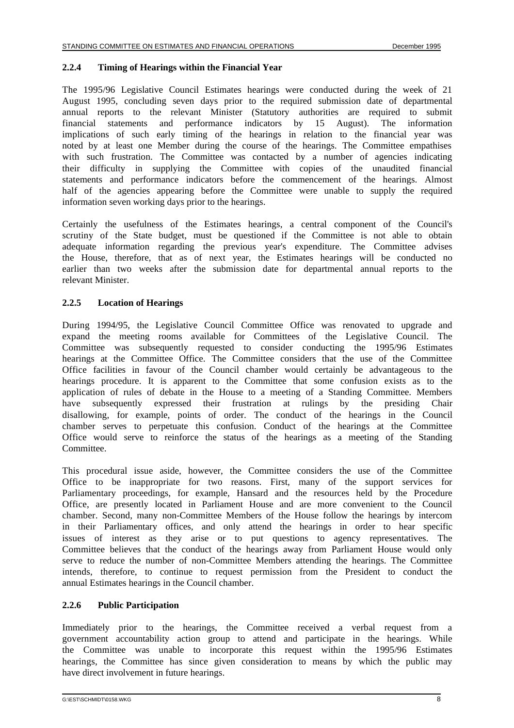#### **2.2.4 Timing of Hearings within the Financial Year**

The 1995/96 Legislative Council Estimates hearings were conducted during the week of 21 August 1995, concluding seven days prior to the required submission date of departmental annual reports to the relevant Minister (Statutory authorities are required to submit financial statements and performance indicators by 15 August). The information implications of such early timing of the hearings in relation to the financial year was noted by at least one Member during the course of the hearings. The Committee empathises with such frustration. The Committee was contacted by a number of agencies indicating their difficulty in supplying the Committee with copies of the unaudited financial statements and performance indicators before the commencement of the hearings. Almost half of the agencies appearing before the Committee were unable to supply the required information seven working days prior to the hearings.

Certainly the usefulness of the Estimates hearings, a central component of the Council's scrutiny of the State budget, must be questioned if the Committee is not able to obtain adequate information regarding the previous year's expenditure. The Committee advises the House, therefore, that as of next year, the Estimates hearings will be conducted no earlier than two weeks after the submission date for departmental annual reports to the relevant Minister.

#### **2.2.5 Location of Hearings**

During 1994/95, the Legislative Council Committee Office was renovated to upgrade and expand the meeting rooms available for Committees of the Legislative Council. The Committee was subsequently requested to consider conducting the 1995/96 Estimates hearings at the Committee Office. The Committee considers that the use of the Committee Office facilities in favour of the Council chamber would certainly be advantageous to the hearings procedure. It is apparent to the Committee that some confusion exists as to the application of rules of debate in the House to a meeting of a Standing Committee. Members have subsequently expressed their frustration at rulings by the presiding Chair disallowing, for example, points of order. The conduct of the hearings in the Council chamber serves to perpetuate this confusion. Conduct of the hearings at the Committee Office would serve to reinforce the status of the hearings as a meeting of the Standing Committee.

This procedural issue aside, however, the Committee considers the use of the Committee Office to be inappropriate for two reasons. First, many of the support services for Parliamentary proceedings, for example, Hansard and the resources held by the Procedure Office, are presently located in Parliament House and are more convenient to the Council chamber. Second, many non-Committee Members of the House follow the hearings by intercom in their Parliamentary offices, and only attend the hearings in order to hear specific issues of interest as they arise or to put questions to agency representatives. The Committee believes that the conduct of the hearings away from Parliament House would only serve to reduce the number of non-Committee Members attending the hearings. The Committee intends, therefore, to continue to request permission from the President to conduct the annual Estimates hearings in the Council chamber.

#### **2.2.6 Public Participation**

Immediately prior to the hearings, the Committee received a verbal request from a government accountability action group to attend and participate in the hearings. While the Committee was unable to incorporate this request within the 1995/96 Estimates hearings, the Committee has since given consideration to means by which the public may have direct involvement in future hearings.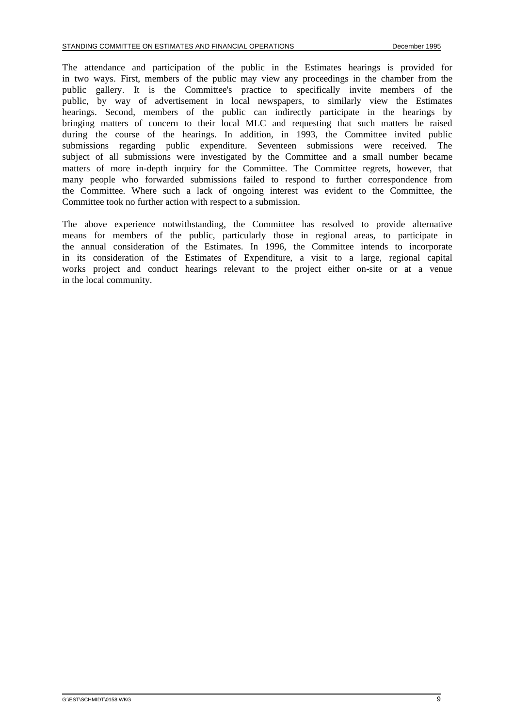The attendance and participation of the public in the Estimates hearings is provided for in two ways. First, members of the public may view any proceedings in the chamber from the public gallery. It is the Committee's practice to specifically invite members of the public, by way of advertisement in local newspapers, to similarly view the Estimates hearings. Second, members of the public can indirectly participate in the hearings by bringing matters of concern to their local MLC and requesting that such matters be raised during the course of the hearings. In addition, in 1993, the Committee invited public submissions regarding public expenditure. Seventeen submissions were received. The subject of all submissions were investigated by the Committee and a small number became matters of more in-depth inquiry for the Committee. The Committee regrets, however, that many people who forwarded submissions failed to respond to further correspondence from the Committee. Where such a lack of ongoing interest was evident to the Committee, the Committee took no further action with respect to a submission.

The above experience notwithstanding, the Committee has resolved to provide alternative means for members of the public, particularly those in regional areas, to participate in the annual consideration of the Estimates. In 1996, the Committee intends to incorporate in its consideration of the Estimates of Expenditure, a visit to a large, regional capital works project and conduct hearings relevant to the project either on-site or at a venue in the local community.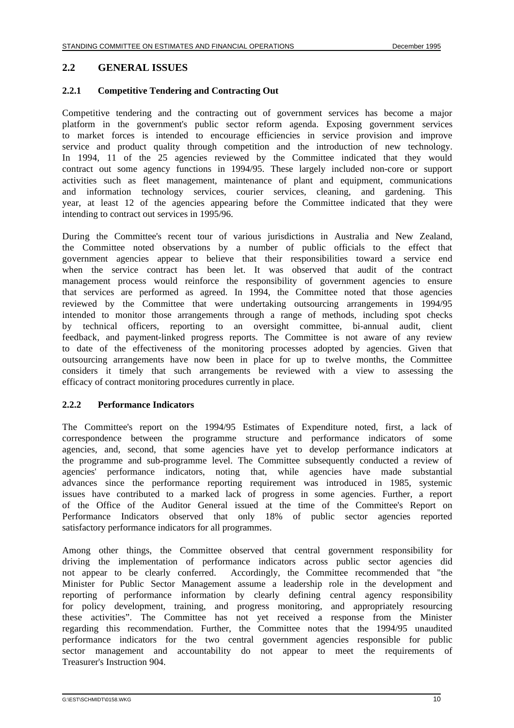#### **2.2 GENERAL ISSUES**

#### **2.2.1 Competitive Tendering and Contracting Out**

Competitive tendering and the contracting out of government services has become a major platform in the government's public sector reform agenda. Exposing government services to market forces is intended to encourage efficiencies in service provision and improve service and product quality through competition and the introduction of new technology. In 1994, 11 of the 25 agencies reviewed by the Committee indicated that they would contract out some agency functions in 1994/95. These largely included non-core or support activities such as fleet management, maintenance of plant and equipment, communications and information technology services, courier services, cleaning, and gardening. This year, at least 12 of the agencies appearing before the Committee indicated that they were intending to contract out services in 1995/96.

During the Committee's recent tour of various jurisdictions in Australia and New Zealand, the Committee noted observations by a number of public officials to the effect that government agencies appear to believe that their responsibilities toward a service end when the service contract has been let. It was observed that audit of the contract management process would reinforce the responsibility of government agencies to ensure that services are performed as agreed. In 1994, the Committee noted that those agencies reviewed by the Committee that were undertaking outsourcing arrangements in 1994/95 intended to monitor those arrangements through a range of methods, including spot checks by technical officers, reporting to an oversight committee, bi-annual audit, client feedback, and payment-linked progress reports. The Committee is not aware of any review to date of the effectiveness of the monitoring processes adopted by agencies. Given that outsourcing arrangements have now been in place for up to twelve months, the Committee considers it timely that such arrangements be reviewed with a view to assessing the efficacy of contract monitoring procedures currently in place.

#### **2.2.2 Performance Indicators**

The Committee's report on the 1994/95 Estimates of Expenditure noted, first, a lack of correspondence between the programme structure and performance indicators of some agencies, and, second, that some agencies have yet to develop performance indicators at the programme and sub-programme level. The Committee subsequently conducted a review of agencies' performance indicators, noting that, while agencies have made substantial advances since the performance reporting requirement was introduced in 1985, systemic issues have contributed to a marked lack of progress in some agencies. Further, a report of the Office of the Auditor General issued at the time of the Committee's Report on Performance Indicators observed that only 18% of public sector agencies reported satisfactory performance indicators for all programmes.

Among other things, the Committee observed that central government responsibility for driving the implementation of performance indicators across public sector agencies did not appear to be clearly conferred. Accordingly, the Committee recommended that "the Minister for Public Sector Management assume a leadership role in the development and reporting of performance information by clearly defining central agency responsibility for policy development, training, and progress monitoring, and appropriately resourcing these activities". The Committee has not yet received a response from the Minister regarding this recommendation. Further, the Committee notes that the 1994/95 unaudited performance indicators for the two central government agencies responsible for public sector management and accountability do not appear to meet the requirements of Treasurer's Instruction 904.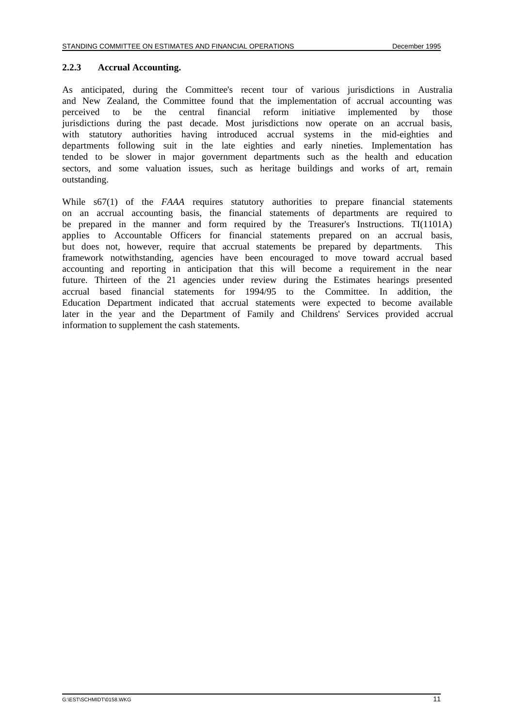#### **2.2.3 Accrual Accounting.**

As anticipated, during the Committee's recent tour of various jurisdictions in Australia and New Zealand, the Committee found that the implementation of accrual accounting was perceived to be the central financial reform initiative implemented by those jurisdictions during the past decade. Most jurisdictions now operate on an accrual basis, with statutory authorities having introduced accrual systems in the mid-eighties and departments following suit in the late eighties and early nineties. Implementation has tended to be slower in major government departments such as the health and education sectors, and some valuation issues, such as heritage buildings and works of art, remain outstanding.

While s67(1) of the *FAAA* requires statutory authorities to prepare financial statements on an accrual accounting basis, the financial statements of departments are required to be prepared in the manner and form required by the Treasurer's Instructions. TI(1101A) applies to Accountable Officers for financial statements prepared on an accrual basis, but does not, however, require that accrual statements be prepared by departments. This framework notwithstanding, agencies have been encouraged to move toward accrual based accounting and reporting in anticipation that this will become a requirement in the near future. Thirteen of the 21 agencies under review during the Estimates hearings presented accrual based financial statements for 1994/95 to the Committee. In addition, the Education Department indicated that accrual statements were expected to become available later in the year and the Department of Family and Childrens' Services provided accrual information to supplement the cash statements.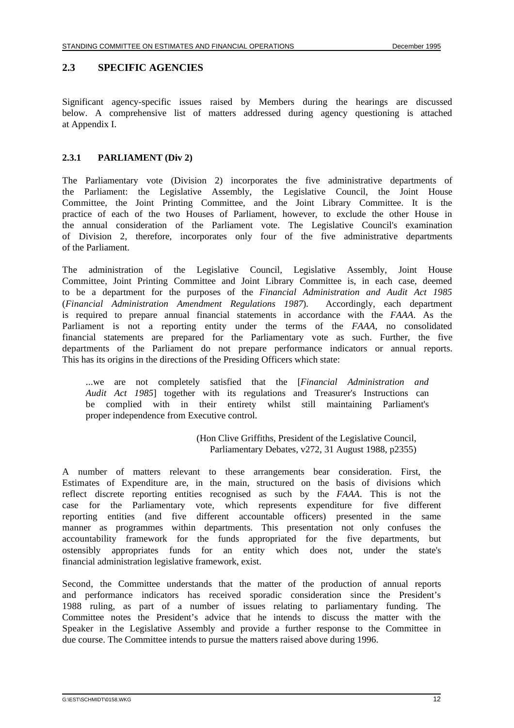# **2.3 SPECIFIC AGENCIES**

Significant agency-specific issues raised by Members during the hearings are discussed below. A comprehensive list of matters addressed during agency questioning is attached at Appendix I.

### **2.3.1 PARLIAMENT (Div 2)**

The Parliamentary vote (Division 2) incorporates the five administrative departments of the Parliament: the Legislative Assembly, the Legislative Council, the Joint House Committee, the Joint Printing Committee, and the Joint Library Committee. It is the practice of each of the two Houses of Parliament, however, to exclude the other House in the annual consideration of the Parliament vote. The Legislative Council's examination of Division 2, therefore, incorporates only four of the five administrative departments of the Parliament.

The administration of the Legislative Council, Legislative Assembly, Joint House Committee, Joint Printing Committee and Joint Library Committee is, in each case, deemed to be a department for the purposes of the *Financial Administration and Audit Act 1985* (*Financial Administration Amendment Regulations 1987*). Accordingly, each department is required to prepare annual financial statements in accordance with the *FAAA*. As the Parliament is not a reporting entity under the terms of the *FAAA*, no consolidated financial statements are prepared for the Parliamentary vote as such. Further, the five departments of the Parliament do not prepare performance indicators or annual reports. This has its origins in the directions of the Presiding Officers which state:

...we are not completely satisfied that the [*Financial Administration and Audit Act 1985*] together with its regulations and Treasurer's Instructions can be complied with in their entirety whilst still maintaining Parliament's proper independence from Executive control.

> (Hon Clive Griffiths, President of the Legislative Council, Parliamentary Debates, v272, 31 August 1988, p2355)

A number of matters relevant to these arrangements bear consideration. First, the Estimates of Expenditure are, in the main, structured on the basis of divisions which reflect discrete reporting entities recognised as such by the *FAAA*. This is not the case for the Parliamentary vote, which represents expenditure for five different reporting entities (and five different accountable officers) presented in the same manner as programmes within departments. This presentation not only confuses the accountability framework for the funds appropriated for the five departments, but ostensibly appropriates funds for an entity which does not, under the state's financial administration legislative framework, exist.

Second, the Committee understands that the matter of the production of annual reports and performance indicators has received sporadic consideration since the President's 1988 ruling, as part of a number of issues relating to parliamentary funding. The Committee notes the President's advice that he intends to discuss the matter with the Speaker in the Legislative Assembly and provide a further response to the Committee in due course. The Committee intends to pursue the matters raised above during 1996.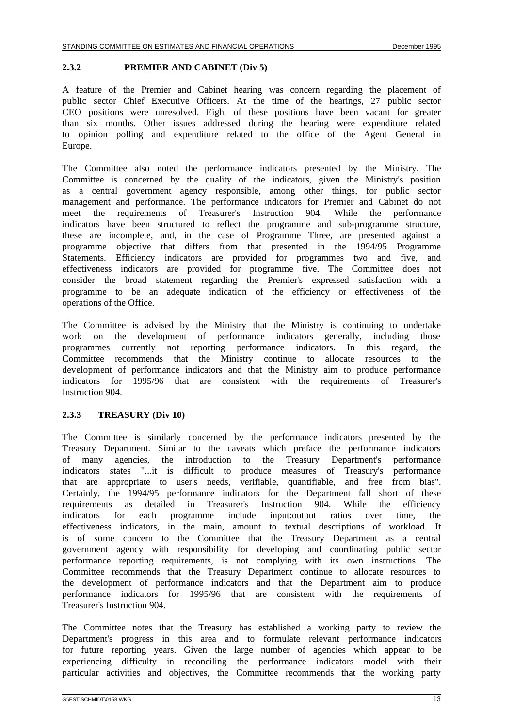#### **2.3.2 PREMIER AND CABINET (Div 5)**

A feature of the Premier and Cabinet hearing was concern regarding the placement of public sector Chief Executive Officers. At the time of the hearings, 27 public sector CEO positions were unresolved. Eight of these positions have been vacant for greater than six months. Other issues addressed during the hearing were expenditure related to opinion polling and expenditure related to the office of the Agent General in Europe.

The Committee also noted the performance indicators presented by the Ministry. The Committee is concerned by the quality of the indicators, given the Ministry's position as a central government agency responsible, among other things, for public sector management and performance. The performance indicators for Premier and Cabinet do not meet the requirements of Treasurer's Instruction 904. While the performance indicators have been structured to reflect the programme and sub-programme structure, these are incomplete, and, in the case of Programme Three, are presented against a programme objective that differs from that presented in the 1994/95 Programme Statements. Efficiency indicators are provided for programmes two and five, and effectiveness indicators are provided for programme five. The Committee does not consider the broad statement regarding the Premier's expressed satisfaction with a programme to be an adequate indication of the efficiency or effectiveness of the operations of the Office.

The Committee is advised by the Ministry that the Ministry is continuing to undertake work on the development of performance indicators generally, including those programmes currently not reporting performance indicators. In this regard, the Committee recommends that the Ministry continue to allocate resources to the development of performance indicators and that the Ministry aim to produce performance indicators for 1995/96 that are consistent with the requirements of Treasurer's Instruction 904.

#### **2.3.3 TREASURY (Div 10)**

The Committee is similarly concerned by the performance indicators presented by the Treasury Department. Similar to the caveats which preface the performance indicators of many agencies, the introduction to the Treasury Department's performance indicators states "...it is difficult to produce measures of Treasury's performance that are appropriate to user's needs, verifiable, quantifiable, and free from bias". Certainly, the 1994/95 performance indicators for the Department fall short of these requirements as detailed in Treasurer's Instruction 904. While the efficiency indicators for each programme include input:output ratios over time, the effectiveness indicators, in the main, amount to textual descriptions of workload. It is of some concern to the Committee that the Treasury Department as a central government agency with responsibility for developing and coordinating public sector performance reporting requirements, is not complying with its own instructions. The Committee recommends that the Treasury Department continue to allocate resources to the development of performance indicators and that the Department aim to produce performance indicators for 1995/96 that are consistent with the requirements of Treasurer's Instruction 904.

The Committee notes that the Treasury has established a working party to review the Department's progress in this area and to formulate relevant performance indicators for future reporting years. Given the large number of agencies which appear to be experiencing difficulty in reconciling the performance indicators model with their particular activities and objectives, the Committee recommends that the working party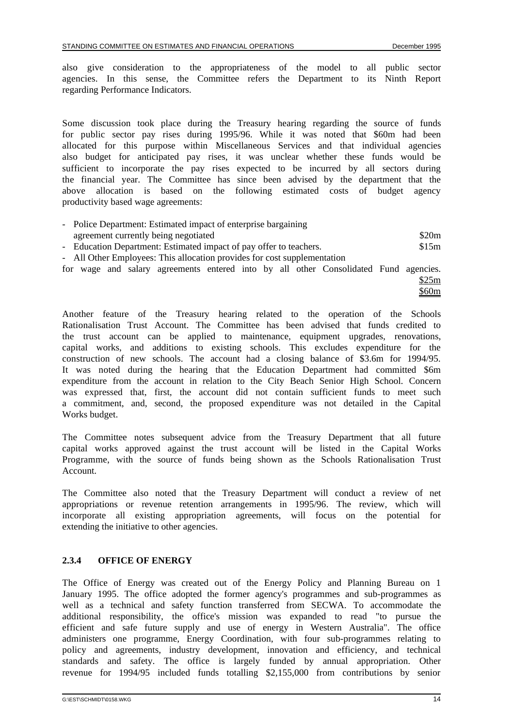also give consideration to the appropriateness of the model to all public sector agencies. In this sense, the Committee refers the Department to its Ninth Report regarding Performance Indicators.

Some discussion took place during the Treasury hearing regarding the source of funds for public sector pay rises during 1995/96. While it was noted that \$60m had been allocated for this purpose within Miscellaneous Services and that individual agencies also budget for anticipated pay rises, it was unclear whether these funds would be sufficient to incorporate the pay rises expected to be incurred by all sectors during the financial year. The Committee has since been advised by the department that the above allocation is based on the following estimated costs of budget agency productivity based wage agreements:

| - Police Department: Estimated impact of enterprise bargaining           |       |
|--------------------------------------------------------------------------|-------|
| agreement currently being negotiated                                     | \$20m |
| - Education Department: Estimated impact of pay offer to teachers.       | \$15m |
| - All Other Employees: This allocation provides for cost supplementation |       |

for wage and salary agreements entered into by all other Consolidated Fund agencies. \$25m

\$60m

Another feature of the Treasury hearing related to the operation of the Schools Rationalisation Trust Account. The Committee has been advised that funds credited to the trust account can be applied to maintenance, equipment upgrades, renovations, capital works, and additions to existing schools. This excludes expenditure for the construction of new schools. The account had a closing balance of \$3.6m for 1994/95. It was noted during the hearing that the Education Department had committed \$6m expenditure from the account in relation to the City Beach Senior High School. Concern was expressed that, first, the account did not contain sufficient funds to meet such a commitment, and, second, the proposed expenditure was not detailed in the Capital Works budget.

The Committee notes subsequent advice from the Treasury Department that all future capital works approved against the trust account will be listed in the Capital Works Programme, with the source of funds being shown as the Schools Rationalisation Trust Account.

The Committee also noted that the Treasury Department will conduct a review of net appropriations or revenue retention arrangements in 1995/96. The review, which will incorporate all existing appropriation agreements, will focus on the potential for extending the initiative to other agencies.

#### **2.3.4 OFFICE OF ENERGY**

The Office of Energy was created out of the Energy Policy and Planning Bureau on 1 January 1995. The office adopted the former agency's programmes and sub-programmes as well as a technical and safety function transferred from SECWA. To accommodate the additional responsibility, the office's mission was expanded to read "to pursue the efficient and safe future supply and use of energy in Western Australia". The office administers one programme, Energy Coordination, with four sub-programmes relating to policy and agreements, industry development, innovation and efficiency, and technical standards and safety. The office is largely funded by annual appropriation. Other revenue for 1994/95 included funds totalling \$2,155,000 from contributions by senior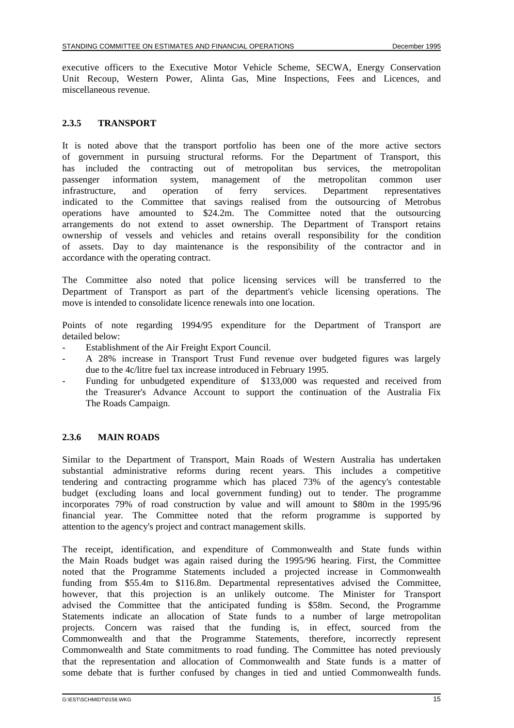executive officers to the Executive Motor Vehicle Scheme, SECWA, Energy Conservation Unit Recoup, Western Power, Alinta Gas, Mine Inspections, Fees and Licences, and miscellaneous revenue.

### **2.3.5 TRANSPORT**

It is noted above that the transport portfolio has been one of the more active sectors of government in pursuing structural reforms. For the Department of Transport, this has included the contracting out of metropolitan bus services, the metropolitan passenger information system, management of the metropolitan common user infrastructure, and operation of ferry services. Department representatives indicated to the Committee that savings realised from the outsourcing of Metrobus operations have amounted to \$24.2m. The Committee noted that the outsourcing arrangements do not extend to asset ownership. The Department of Transport retains ownership of vessels and vehicles and retains overall responsibility for the condition of assets. Day to day maintenance is the responsibility of the contractor and in accordance with the operating contract.

The Committee also noted that police licensing services will be transferred to the Department of Transport as part of the department's vehicle licensing operations. The move is intended to consolidate licence renewals into one location.

Points of note regarding 1994/95 expenditure for the Department of Transport are detailed below:

- Establishment of the Air Freight Export Council.
- A 28% increase in Transport Trust Fund revenue over budgeted figures was largely due to the 4c/litre fuel tax increase introduced in February 1995.
- Funding for unbudgeted expenditure of \$133,000 was requested and received from the Treasurer's Advance Account to support the continuation of the Australia Fix The Roads Campaign.

# **2.3.6 MAIN ROADS**

Similar to the Department of Transport, Main Roads of Western Australia has undertaken substantial administrative reforms during recent years. This includes a competitive tendering and contracting programme which has placed 73% of the agency's contestable budget (excluding loans and local government funding) out to tender. The programme incorporates 79% of road construction by value and will amount to \$80m in the 1995/96 financial year. The Committee noted that the reform programme is supported by attention to the agency's project and contract management skills.

The receipt, identification, and expenditure of Commonwealth and State funds within the Main Roads budget was again raised during the 1995/96 hearing. First, the Committee noted that the Programme Statements included a projected increase in Commonwealth funding from \$55.4m to \$116.8m. Departmental representatives advised the Committee, however, that this projection is an unlikely outcome. The Minister for Transport advised the Committee that the anticipated funding is \$58m. Second, the Programme Statements indicate an allocation of State funds to a number of large metropolitan projects. Concern was raised that the funding is, in effect, sourced from the Commonwealth and that the Programme Statements, therefore, incorrectly represent Commonwealth and State commitments to road funding. The Committee has noted previously that the representation and allocation of Commonwealth and State funds is a matter of some debate that is further confused by changes in tied and untied Commonwealth funds.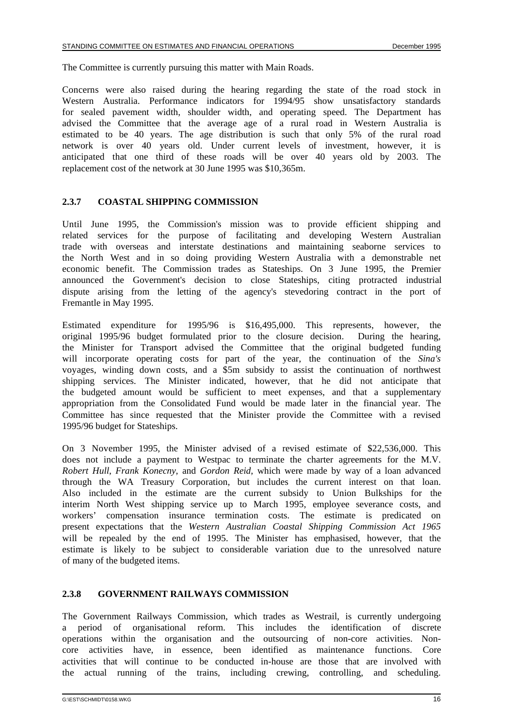The Committee is currently pursuing this matter with Main Roads.

Concerns were also raised during the hearing regarding the state of the road stock in Western Australia. Performance indicators for 1994/95 show unsatisfactory standards for sealed pavement width, shoulder width, and operating speed. The Department has advised the Committee that the average age of a rural road in Western Australia is estimated to be 40 years. The age distribution is such that only 5% of the rural road network is over 40 years old. Under current levels of investment, however, it is anticipated that one third of these roads will be over 40 years old by 2003. The replacement cost of the network at 30 June 1995 was \$10,365m.

### **2.3.7 COASTAL SHIPPING COMMISSION**

Until June 1995, the Commission's mission was to provide efficient shipping and related services for the purpose of facilitating and developing Western Australian trade with overseas and interstate destinations and maintaining seaborne services to the North West and in so doing providing Western Australia with a demonstrable net economic benefit. The Commission trades as Stateships. On 3 June 1995, the Premier announced the Government's decision to close Stateships, citing protracted industrial dispute arising from the letting of the agency's stevedoring contract in the port of Fremantle in May 1995.

Estimated expenditure for 1995/96 is \$16,495,000. This represents, however, the original 1995/96 budget formulated prior to the closure decision. During the hearing, the Minister for Transport advised the Committee that the original budgeted funding will incorporate operating costs for part of the year, the continuation of the *Sina's* voyages, winding down costs, and a \$5m subsidy to assist the continuation of northwest shipping services. The Minister indicated, however, that he did not anticipate that the budgeted amount would be sufficient to meet expenses, and that a supplementary appropriation from the Consolidated Fund would be made later in the financial year. The Committee has since requested that the Minister provide the Committee with a revised 1995/96 budget for Stateships.

On 3 November 1995, the Minister advised of a revised estimate of \$22,536,000. This does not include a payment to Westpac to terminate the charter agreements for the M.V. *Robert Hull*, *Frank Konecny*, and *Gordon Reid*, which were made by way of a loan advanced through the WA Treasury Corporation, but includes the current interest on that loan. Also included in the estimate are the current subsidy to Union Bulkships for the interim North West shipping service up to March 1995, employee severance costs, and workers' compensation insurance termination costs. The estimate is predicated on present expectations that the *Western Australian Coastal Shipping Commission Act 1965* will be repealed by the end of 1995. The Minister has emphasised, however, that the estimate is likely to be subject to considerable variation due to the unresolved nature of many of the budgeted items.

#### **2.3.8 GOVERNMENT RAILWAYS COMMISSION**

The Government Railways Commission, which trades as Westrail, is currently undergoing a period of organisational reform. This includes the identification of discrete operations within the organisation and the outsourcing of non-core activities. Noncore activities have, in essence, been identified as maintenance functions. Core activities that will continue to be conducted in-house are those that are involved with the actual running of the trains, including crewing, controlling, and scheduling.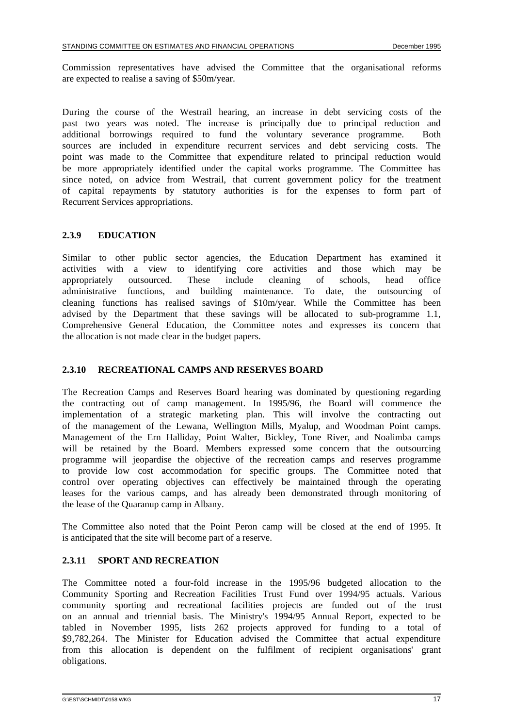Commission representatives have advised the Committee that the organisational reforms are expected to realise a saving of \$50m/year.

During the course of the Westrail hearing, an increase in debt servicing costs of the past two years was noted. The increase is principally due to principal reduction and additional borrowings required to fund the voluntary severance programme. Both sources are included in expenditure recurrent services and debt servicing costs. The point was made to the Committee that expenditure related to principal reduction would be more appropriately identified under the capital works programme. The Committee has since noted, on advice from Westrail, that current government policy for the treatment of capital repayments by statutory authorities is for the expenses to form part of Recurrent Services appropriations.

#### **2.3.9 EDUCATION**

Similar to other public sector agencies, the Education Department has examined it activities with a view to identifying core activities and those which may be appropriately outsourced. These include cleaning of schools, head office appropriately outsourced. These include cleaning of schools, head administrative functions, and building maintenance. To date, the outsourcing of cleaning functions has realised savings of \$10m/year. While the Committee has been advised by the Department that these savings will be allocated to sub-programme 1.1, Comprehensive General Education, the Committee notes and expresses its concern that the allocation is not made clear in the budget papers.

#### **2.3.10 RECREATIONAL CAMPS AND RESERVES BOARD**

The Recreation Camps and Reserves Board hearing was dominated by questioning regarding the contracting out of camp management. In 1995/96, the Board will commence the implementation of a strategic marketing plan. This will involve the contracting out of the management of the Lewana, Wellington Mills, Myalup, and Woodman Point camps. Management of the Ern Halliday, Point Walter, Bickley, Tone River, and Noalimba camps will be retained by the Board. Members expressed some concern that the outsourcing programme will jeopardise the objective of the recreation camps and reserves programme to provide low cost accommodation for specific groups. The Committee noted that control over operating objectives can effectively be maintained through the operating leases for the various camps, and has already been demonstrated through monitoring of the lease of the Quaranup camp in Albany.

The Committee also noted that the Point Peron camp will be closed at the end of 1995. It is anticipated that the site will become part of a reserve.

#### **2.3.11 SPORT AND RECREATION**

The Committee noted a four-fold increase in the 1995/96 budgeted allocation to the Community Sporting and Recreation Facilities Trust Fund over 1994/95 actuals. Various community sporting and recreational facilities projects are funded out of the trust on an annual and triennial basis. The Ministry's 1994/95 Annual Report, expected to be tabled in November 1995, lists 262 projects approved for funding to a total of \$9,782,264. The Minister for Education advised the Committee that actual expenditure from this allocation is dependent on the fulfilment of recipient organisations' grant obligations.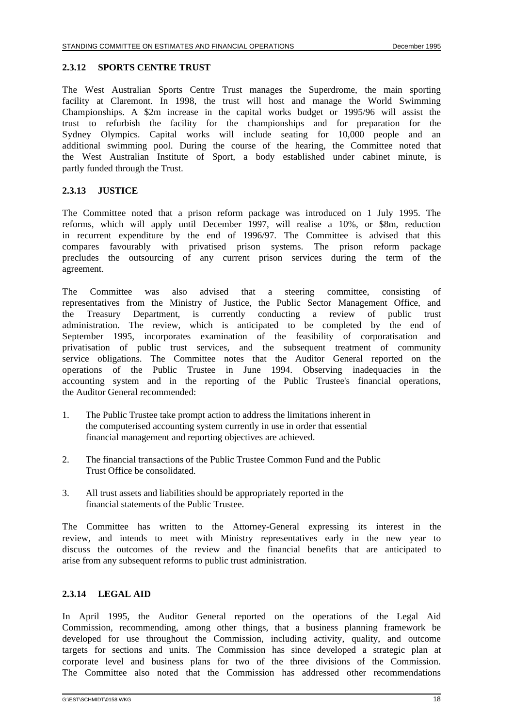#### **2.3.12 SPORTS CENTRE TRUST**

The West Australian Sports Centre Trust manages the Superdrome, the main sporting facility at Claremont. In 1998, the trust will host and manage the World Swimming Championships. A \$2m increase in the capital works budget or 1995/96 will assist the trust to refurbish the facility for the championships and for preparation for the Sydney Olympics. Capital works will include seating for 10,000 people and an additional swimming pool. During the course of the hearing, the Committee noted that the West Australian Institute of Sport, a body established under cabinet minute, is partly funded through the Trust.

#### **2.3.13 JUSTICE**

The Committee noted that a prison reform package was introduced on 1 July 1995. The reforms, which will apply until December 1997, will realise a 10%, or \$8m, reduction in recurrent expenditure by the end of 1996/97. The Committee is advised that this compares favourably with privatised prison systems. The prison reform package precludes the outsourcing of any current prison services during the term of the agreement.

The Committee was also advised that a steering committee, consisting of representatives from the Ministry of Justice, the Public Sector Management Office, and the Treasury Department, is currently conducting a review of public trust administration. The review, which is anticipated to be completed by the end of September 1995, incorporates examination of the feasibility of corporatisation and privatisation of public trust services, and the subsequent treatment of community service obligations. The Committee notes that the Auditor General reported on the operations of the Public Trustee in June 1994. Observing inadequacies in the accounting system and in the reporting of the Public Trustee's financial operations, the Auditor General recommended:

- 1. The Public Trustee take prompt action to address the limitations inherent in the computerised accounting system currently in use in order that essential financial management and reporting objectives are achieved.
- 2. The financial transactions of the Public Trustee Common Fund and the Public Trust Office be consolidated.
- 3. All trust assets and liabilities should be appropriately reported in the financial statements of the Public Trustee.

The Committee has written to the Attorney-General expressing its interest in the review, and intends to meet with Ministry representatives early in the new year to discuss the outcomes of the review and the financial benefits that are anticipated to arise from any subsequent reforms to public trust administration.

#### **2.3.14 LEGAL AID**

In April 1995, the Auditor General reported on the operations of the Legal Aid Commission, recommending, among other things, that a business planning framework be developed for use throughout the Commission, including activity, quality, and outcome targets for sections and units. The Commission has since developed a strategic plan at corporate level and business plans for two of the three divisions of the Commission. The Committee also noted that the Commission has addressed other recommendations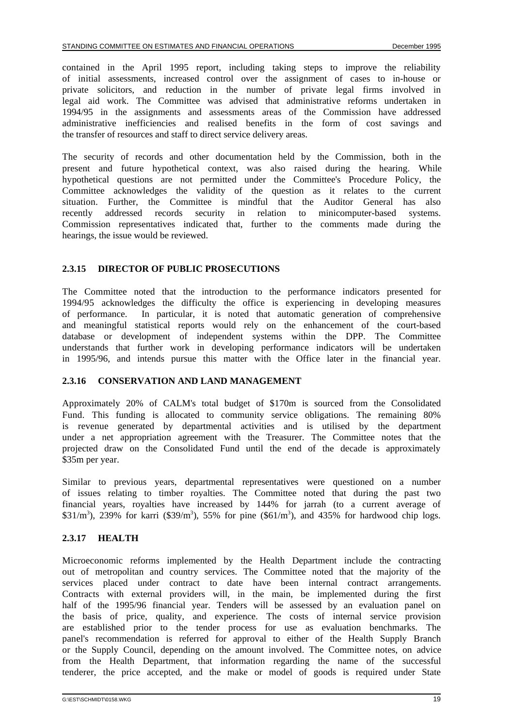contained in the April 1995 report, including taking steps to improve the reliability of initial assessments, increased control over the assignment of cases to in-house or private solicitors, and reduction in the number of private legal firms involved in legal aid work. The Committee was advised that administrative reforms undertaken in 1994/95 in the assignments and assessments areas of the Commission have addressed administrative inefficiencies and realised benefits in the form of cost savings and the transfer of resources and staff to direct service delivery areas.

The security of records and other documentation held by the Commission, both in the present and future hypothetical context, was also raised during the hearing. While hypothetical questions are not permitted under the Committee's Procedure Policy, the Committee acknowledges the validity of the question as it relates to the current situation. Further, the Committee is mindful that the Auditor General has also recently addressed records security in relation to minicomputer-based systems. Commission representatives indicated that, further to the comments made during the hearings, the issue would be reviewed.

#### **2.3.15 DIRECTOR OF PUBLIC PROSECUTIONS**

The Committee noted that the introduction to the performance indicators presented for 1994/95 acknowledges the difficulty the office is experiencing in developing measures of performance. In particular, it is noted that automatic generation of comprehensive and meaningful statistical reports would rely on the enhancement of the court-based database or development of independent systems within the DPP. The Committee understands that further work in developing performance indicators will be undertaken in 1995/96, and intends pursue this matter with the Office later in the financial year.

#### **2.3.16 CONSERVATION AND LAND MANAGEMENT**

Approximately 20% of CALM's total budget of \$170m is sourced from the Consolidated Fund. This funding is allocated to community service obligations. The remaining 80% is revenue generated by departmental activities and is utilised by the department under a net appropriation agreement with the Treasurer. The Committee notes that the projected draw on the Consolidated Fund until the end of the decade is approximately \$35m per year.

Similar to previous years, departmental representatives were questioned on a number of issues relating to timber royalties. The Committee noted that during the past two financial years, royalties have increased by 144% for jarrah (to a current average of  $$31/m<sup>3</sup>$ ), 239% for karri (\$39/m<sup>3</sup>), 55% for pine (\$61/m<sup>3</sup>), and 435% for hardwood chip logs.

# **2.3.17 HEALTH**

Microeconomic reforms implemented by the Health Department include the contracting out of metropolitan and country services. The Committee noted that the majority of the services placed under contract to date have been internal contract arrangements. Contracts with external providers will, in the main, be implemented during the first half of the 1995/96 financial year. Tenders will be assessed by an evaluation panel on the basis of price, quality, and experience. The costs of internal service provision are established prior to the tender process for use as evaluation benchmarks. The panel's recommendation is referred for approval to either of the Health Supply Branch or the Supply Council, depending on the amount involved. The Committee notes, on advice from the Health Department, that information regarding the name of the successful tenderer, the price accepted, and the make or model of goods is required under State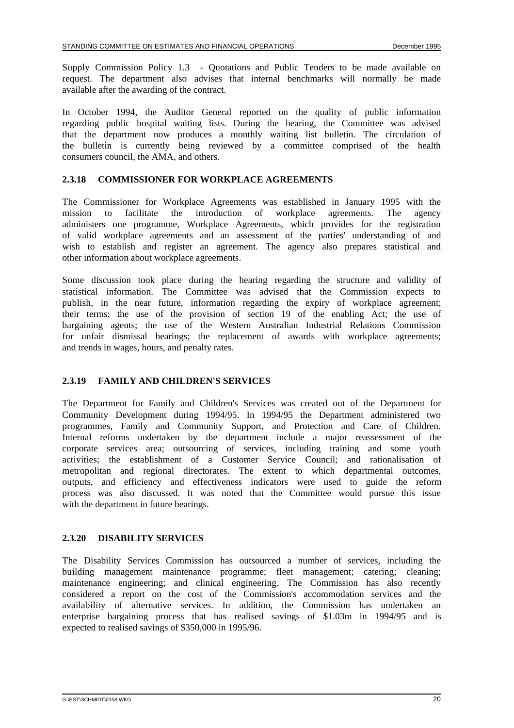Supply Commission Policy 1.3 - Quotations and Public Tenders to be made available on request. The department also advises that internal benchmarks will normally be made available after the awarding of the contract.

In October 1994, the Auditor General reported on the quality of public information regarding public hospital waiting lists. During the hearing, the Committee was advised that the department now produces a monthly waiting list bulletin. The circulation of the bulletin is currently being reviewed by a committee comprised of the health consumers council, the AMA, and others.

### **2.3.18 COMMISSIONER FOR WORKPLACE AGREEMENTS**

The Commissioner for Workplace Agreements was established in January 1995 with the mission to facilitate the introduction of workplace agreements. The agency administers one programme, Workplace Agreements, which provides for the registration of valid workplace agreements and an assessment of the parties' understanding of and wish to establish and register an agreement. The agency also prepares statistical and other information about workplace agreements.

Some discussion took place during the hearing regarding the structure and validity of statistical information. The Committee was advised that the Commission expects to publish, in the near future, information regarding the expiry of workplace agreement; their terms; the use of the provision of section 19 of the enabling Act; the use of bargaining agents; the use of the Western Australian Industrial Relations Commission for unfair dismissal hearings; the replacement of awards with workplace agreements; and trends in wages, hours, and penalty rates.

# **2.3.19 FAMILY AND CHILDREN'S SERVICES**

The Department for Family and Children's Services was created out of the Department for Community Development during 1994/95. In 1994/95 the Department administered two programmes, Family and Community Support, and Protection and Care of Children. Internal reforms undertaken by the department include a major reassessment of the corporate services area; outsourcing of services, including training and some youth activities; the establishment of a Customer Service Council; and rationalisation of metropolitan and regional directorates. The extent to which departmental outcomes, outputs, and efficiency and effectiveness indicators were used to guide the reform process was also discussed. It was noted that the Committee would pursue this issue with the department in future hearings.

#### **2.3.20 DISABILITY SERVICES**

The Disability Services Commission has outsourced a number of services, including the building management maintenance programme; fleet management; catering; cleaning; maintenance engineering; and clinical engineering. The Commission has also recently considered a report on the cost of the Commission's accommodation services and the availability of alternative services. In addition, the Commission has undertaken an enterprise bargaining process that has realised savings of \$1.03m in 1994/95 and is expected to realised savings of \$350,000 in 1995/96.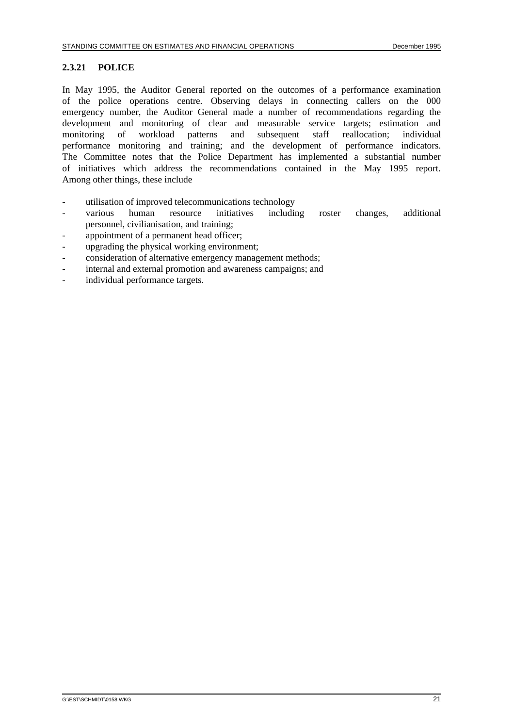#### **2.3.21 POLICE**

In May 1995, the Auditor General reported on the outcomes of a performance examination of the police operations centre. Observing delays in connecting callers on the 000 emergency number, the Auditor General made a number of recommendations regarding the development and monitoring of clear and measurable service targets; estimation and monitoring of workload patterns and subsequent staff reallocation; individual performance monitoring and training; and the development of performance indicators. The Committee notes that the Police Department has implemented a substantial number of initiatives which address the recommendations contained in the May 1995 report. Among other things, these include

- utilisation of improved telecommunications technology
- various human resource initiatives including roster changes, additional personnel, civilianisation, and training;
- appointment of a permanent head officer;
- upgrading the physical working environment;
- consideration of alternative emergency management methods;
- internal and external promotion and awareness campaigns; and
- individual performance targets.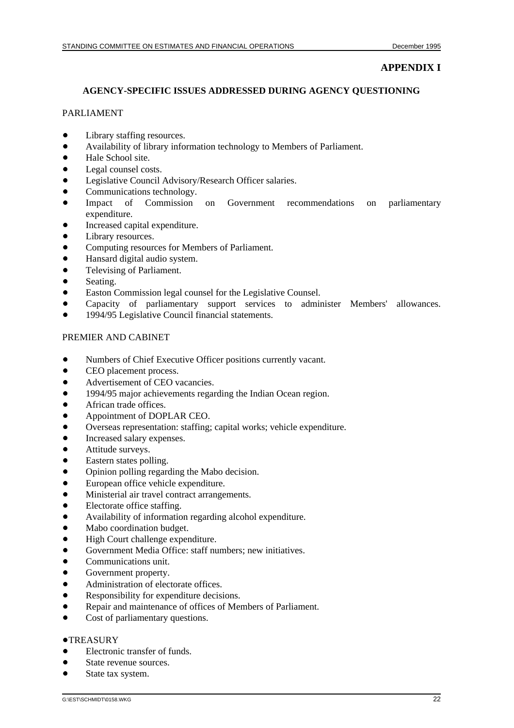# **APPENDIX I**

#### **AGENCY-SPECIFIC ISSUES ADDRESSED DURING AGENCY QUESTIONING**

### PARLIAMENT

- $\bullet$ Library staffing resources.
- $\bullet$ Availability of library information technology to Members of Parliament.
- $\bullet$ Hale School site.
- $\bullet$ Legal counsel costs.
- $\bullet$ Legislative Council Advisory/Research Officer salaries.
- $\bullet$ Communications technology.
- $\bullet$  Impact of Commission on Government recommendations on parliamentary expenditure.
- $\bullet$ Increased capital expenditure.
- $\bullet$ Library resources.
- $\bullet$ Computing resources for Members of Parliament.
- $\bullet$ Hansard digital audio system.
- $\bullet$ Televising of Parliament.
- $\bullet$ Seating.
- $\bullet$ Easton Commission legal counsel for the Legislative Counsel.
- $\bullet$ Capacity of parliamentary support services to administer Members' allowances.
- $\bullet$ 1994/95 Legislative Council financial statements.

#### PREMIER AND CABINET

- $\bullet$ Numbers of Chief Executive Officer positions currently vacant.
- $\bullet$ CEO placement process.
- $\bullet$ Advertisement of CEO vacancies.
- $\bullet$ 1994/95 major achievements regarding the Indian Ocean region.
- $\bullet$ African trade offices.
- $\bullet$ Appointment of DOPLAR CEO.
- $\bullet$ Overseas representation: staffing; capital works; vehicle expenditure.
- $\bullet$ Increased salary expenses.
- $\bullet$ Attitude surveys.
- $\bullet$ Eastern states polling.
- $\bullet$ Opinion polling regarding the Mabo decision.
- $\bullet$ European office vehicle expenditure.
- $\bullet$ Ministerial air travel contract arrangements.
- $\bullet$ Electorate office staffing.
- $\bullet$ Availability of information regarding alcohol expenditure.
- $\bullet$ Mabo coordination budget.
- $\bullet$ High Court challenge expenditure.
- $\bullet$ Government Media Office: staff numbers; new initiatives.
- $\bullet$ Communications unit.
- $\bullet$ Government property.
- $\bullet$ Administration of electorate offices.
- $\bullet$ Responsibility for expenditure decisions.
- $\bullet$ Repair and maintenance of offices of Members of Parliament.
- $\bullet$ Cost of parliamentary questions.

# **•TREASURY**

- $\bullet$ Electronic transfer of funds.
- $\bullet$ State revenue sources.
- $\bullet$ State tax system.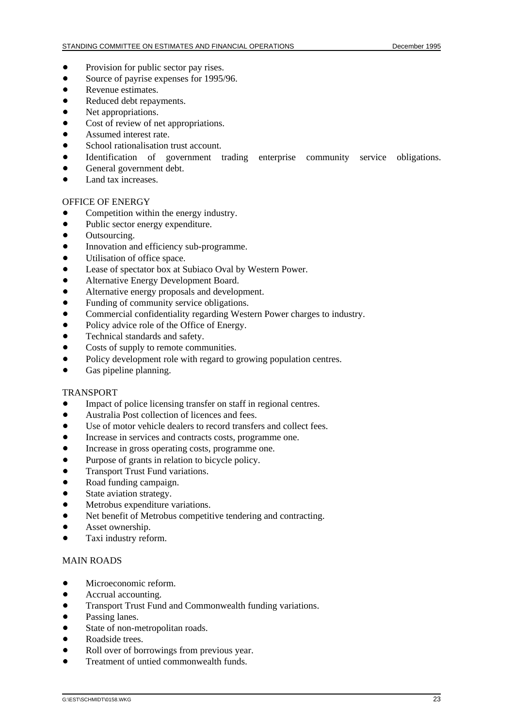- $\bullet$ Provision for public sector pay rises.
- $\bullet$ Source of payrise expenses for 1995/96.
- $\bullet$ Revenue estimates.
- $\bullet$ Reduced debt repayments.
- $\bullet$ Net appropriations.
- $\bullet$ Cost of review of net appropriations.
- $\bullet$ Assumed interest rate.
- $\bullet$ School rationalisation trust account.
- $\bullet$ Identification of government trading enterprise community service obligations.
- $\bullet$ General government debt.
- $\bullet$ Land tax increases.

#### OFFICE OF ENERGY

- $\ddot{\bullet}$ Competition within the energy industry.
- $\bullet$ Public sector energy expenditure.
- $\bullet$ Outsourcing.
- $\bullet$ Innovation and efficiency sub-programme.
- $\bullet$ Utilisation of office space.
- $\bullet$ Lease of spectator box at Subiaco Oval by Western Power.
- $\bullet$ Alternative Energy Development Board.
- $\bullet$ Alternative energy proposals and development.
- $\bullet$ Funding of community service obligations.
- $\bullet$ Commercial confidentiality regarding Western Power charges to industry.
- $\bullet$ Policy advice role of the Office of Energy.
- $\bullet$ Technical standards and safety.
- $\bullet$ Costs of supply to remote communities.
- $\bullet$ Policy development role with regard to growing population centres.
- $\bullet$ Gas pipeline planning.

#### TRANSPORT

- $\bullet$ Impact of police licensing transfer on staff in regional centres.
- $\bullet$ Australia Post collection of licences and fees.
- $\bullet$ Use of motor vehicle dealers to record transfers and collect fees.
- $\bullet$ Increase in services and contracts costs, programme one.
- $\bullet$ Increase in gross operating costs, programme one.
- $\bullet$ Purpose of grants in relation to bicycle policy.
- $\bullet$ Transport Trust Fund variations.
- $\bullet$ Road funding campaign.
- $\bullet$ State aviation strategy.
- $\bullet$ Metrobus expenditure variations.
- $\bullet$ Net benefit of Metrobus competitive tendering and contracting.
- $\bullet$ Asset ownership.
- $\bullet$ Taxi industry reform.

#### MAIN ROADS

- $\bullet$ Microeconomic reform.
- $\bullet$ Accrual accounting.
- $\bullet$ Transport Trust Fund and Commonwealth funding variations.
- $\bullet$ Passing lanes.
- $\bullet$ State of non-metropolitan roads.
- $\bullet$ Roadside trees.
- $\bullet$ Roll over of borrowings from previous year.
- $\bullet$ Treatment of untied commonwealth funds.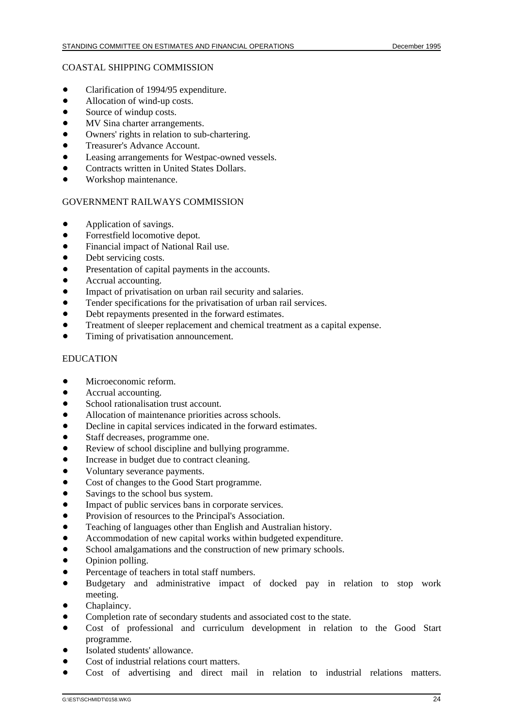#### COASTAL SHIPPING COMMISSION

- $\bullet$ Clarification of 1994/95 expenditure.
- $\bullet$ Allocation of wind-up costs.
- $\bullet$ Source of windup costs.
- $\bullet$ MV Sina charter arrangements.
- $\bullet$ Owners' rights in relation to sub-chartering.
- $\bullet$ Treasurer's Advance Account.
- $\bullet$ Leasing arrangements for Westpac-owned vessels.
- $\bullet$ Contracts written in United States Dollars.
- $\bullet$ Workshop maintenance.

#### GOVERNMENT RAILWAYS COMMISSION

- $\bullet$ Application of savings.
- $\bullet$ Forrestfield locomotive depot.
- $\bullet$ Financial impact of National Rail use.
- $\bullet$ Debt servicing costs.
- $\bullet$ Presentation of capital payments in the accounts.
- $\bullet$ Accrual accounting.
- $\bullet$ Impact of privatisation on urban rail security and salaries.
- $\bullet$ Tender specifications for the privatisation of urban rail services.
- $\bullet$ Debt repayments presented in the forward estimates.
- $\bullet$ Treatment of sleeper replacement and chemical treatment as a capital expense.
- $\bullet$ Timing of privatisation announcement.

# **EDUCATION**

- $\bullet$ Microeconomic reform.
- $\bullet$ Accrual accounting.
- $\bullet$ School rationalisation trust account.
- $\bullet$ Allocation of maintenance priorities across schools.
- $\bullet$ Decline in capital services indicated in the forward estimates.
- $\bullet$ Staff decreases, programme one.
- $\bullet$ Review of school discipline and bullying programme.
- $\bullet$ Increase in budget due to contract cleaning.
- $\bullet$ Voluntary severance payments.
- $\bullet$ Cost of changes to the Good Start programme.
- $\bullet$ Savings to the school bus system.
- $\bullet$ Impact of public services bans in corporate services.
- $\bullet$ Provision of resources to the Principal's Association.
- $\bullet$ Teaching of languages other than English and Australian history.
- $\bullet$ Accommodation of new capital works within budgeted expenditure.
- $\bullet$ School amalgamations and the construction of new primary schools.
- $\bullet$ Opinion polling.
- $\bullet$ Percentage of teachers in total staff numbers.
- $\bullet$  Budgetary and administrative impact of docked pay in relation to stop work meeting.
- $\bullet$ Chaplaincy.
- $\bullet$ Completion rate of secondary students and associated cost to the state.
- $\bullet$  Cost of professional and curriculum development in relation to the Good Start programme.
- $\bullet$ Isolated students' allowance.
- $\bullet$ Cost of industrial relations court matters.
- $\bullet$ Cost of advertising and direct mail in relation to industrial relations matters.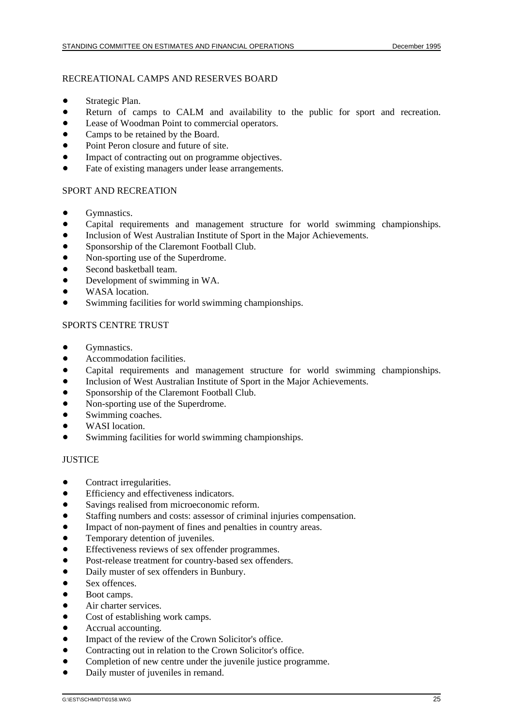### RECREATIONAL CAMPS AND RESERVES BOARD

- $\bullet$ Strategic Plan.
- $\bullet$ Return of camps to CALM and availability to the public for sport and recreation.
- $\bullet$ Lease of Woodman Point to commercial operators.
- $\bullet$ Camps to be retained by the Board.
- $\bullet$ Point Peron closure and future of site.
- $\bullet$ Impact of contracting out on programme objectives.
- $\bullet$ Fate of existing managers under lease arrangements.

### SPORT AND RECREATION

- $\bullet$ Gymnastics.
- $\bullet$ Capital requirements and management structure for world swimming championships.
- $\bullet$ Inclusion of West Australian Institute of Sport in the Major Achievements.
- $\bullet$ Sponsorship of the Claremont Football Club.
- $\bullet$ Non-sporting use of the Superdrome.
- $\bullet$ Second basketball team.
- $\bullet$ Development of swimming in WA.
- $\bullet$ WASA location.
- $\bullet$ Swimming facilities for world swimming championships.

### SPORTS CENTRE TRUST

- $\bullet$ Gymnastics.
- $\bullet$ Accommodation facilities.
- $\bullet$ Capital requirements and management structure for world swimming championships.
- $\bullet$ Inclusion of West Australian Institute of Sport in the Major Achievements.
- $\bullet$ Sponsorship of the Claremont Football Club.
- $\bullet$ Non-sporting use of the Superdrome.
- $\bullet$ Swimming coaches.
- $\bullet$ WASI location.
- $\bullet$ Swimming facilities for world swimming championships.

#### **JUSTICE**

- $\bullet$ Contract irregularities.
- $\bullet$ Efficiency and effectiveness indicators.
- $\bullet$ Savings realised from microeconomic reform.
- $\bullet$ Staffing numbers and costs: assessor of criminal injuries compensation.
- $\bullet$ Impact of non-payment of fines and penalties in country areas.
- $\bullet$ Temporary detention of juveniles.
- $\bullet$ Effectiveness reviews of sex offender programmes.
- $\bullet$ Post-release treatment for country-based sex offenders.
- $\bullet$ Daily muster of sex offenders in Bunbury.
- $\bullet$ Sex offences.
- $\bullet$ Boot camps.
- $\bullet$ Air charter services.
- $\bullet$ Cost of establishing work camps.
- $\bullet$ Accrual accounting.
- $\bullet$ Impact of the review of the Crown Solicitor's office.
- $\bullet$ Contracting out in relation to the Crown Solicitor's office.
- $\bullet$ Completion of new centre under the juvenile justice programme.
- $\bullet$ Daily muster of juveniles in remand.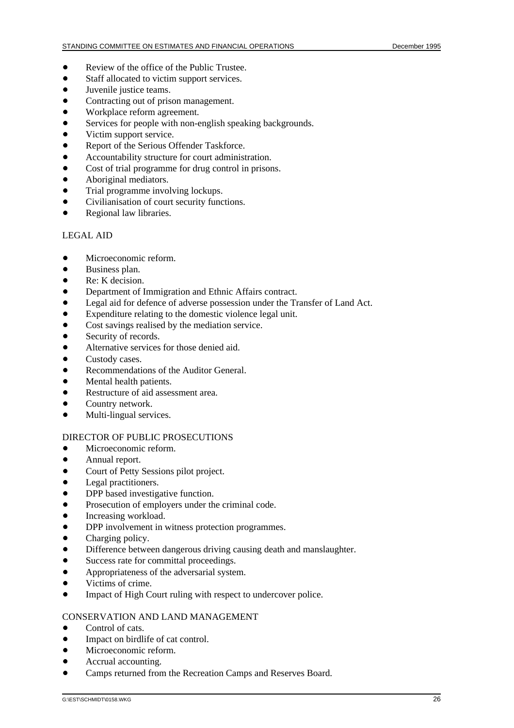- $\bullet$ Review of the office of the Public Trustee.
- $\bullet$ Staff allocated to victim support services.
- $\bullet$ Juvenile justice teams.
- $\bullet$ Contracting out of prison management.
- $\bullet$ Workplace reform agreement.
- $\bullet$ Services for people with non-english speaking backgrounds.
- $\bullet$ Victim support service.
- $\bullet$ Report of the Serious Offender Taskforce.
- $\bullet$ Accountability structure for court administration.
- $\bullet$ Cost of trial programme for drug control in prisons.
- $\bullet$ Aboriginal mediators.
- $\bullet$ Trial programme involving lockups.
- $\bullet$ Civilianisation of court security functions.
- $\bullet$ Regional law libraries.

### LEGAL AID

- $\bullet$ Microeconomic reform.
- $\bullet$ Business plan.
- $\bullet$ Re: K decision.
- $\bullet$ Department of Immigration and Ethnic Affairs contract.
- $\bullet$ Legal aid for defence of adverse possession under the Transfer of Land Act.
- $\bullet$ Expenditure relating to the domestic violence legal unit.
- $\bullet$ Cost savings realised by the mediation service.
- $\bullet$ Security of records.
- $\bullet$ Alternative services for those denied aid.
- $\bullet$ Custody cases.
- $\bullet$ Recommendations of the Auditor General.
- $\bullet$ Mental health patients.
- $\bullet$ Restructure of aid assessment area.
- $\bullet$ Country network.
- $\bullet$ Multi-lingual services.

#### DIRECTOR OF PUBLIC PROSECUTIONS

- $\bullet$ Microeconomic reform.
- $\bullet$ Annual report.
- $\bullet$ Court of Petty Sessions pilot project.
- $\bullet$ Legal practitioners.
- $\bullet$ DPP based investigative function.
- $\bullet$ Prosecution of employers under the criminal code.
- $\bullet$ Increasing workload.
- $\bullet$ DPP involvement in witness protection programmes.
- $\bullet$ Charging policy.
- $\bullet$ Difference between dangerous driving causing death and manslaughter.
- $\bullet$ Success rate for committal proceedings.
- $\bullet$ Appropriateness of the adversarial system.
- $\bullet$ Victims of crime.
- $\bullet$ Impact of High Court ruling with respect to undercover police.

#### CONSERVATION AND LAND MANAGEMENT

- $\bullet$ Control of cats.
- $\bullet$ Impact on birdlife of cat control.
- $\bullet$ Microeconomic reform.
- $\bullet$ Accrual accounting.
- $\bullet$ Camps returned from the Recreation Camps and Reserves Board.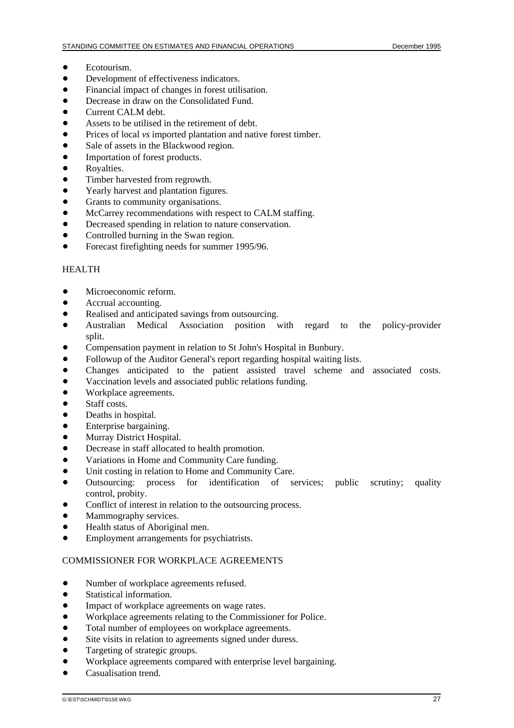- $\bullet$ Ecotourism.
- $\bullet$ Development of effectiveness indicators.
- $\bullet$ Financial impact of changes in forest utilisation.
- $\bullet$ Decrease in draw on the Consolidated Fund.
- $\bullet$ Current CALM debt.
- $\bullet$ Assets to be utilised in the retirement of debt.
- $\bullet$ Prices of local *vs* imported plantation and native forest timber.
- $\bullet$ Sale of assets in the Blackwood region.
- $\bullet$ Importation of forest products.
- $\bullet$ Royalties.
- $\bullet$ Timber harvested from regrowth.
- $\bullet$ Yearly harvest and plantation figures.
- $\bullet$ Grants to community organisations.
- $\bullet$ McCarrey recommendations with respect to CALM staffing.
- $\bullet$ Decreased spending in relation to nature conservation.
- $\bullet$ Controlled burning in the Swan region.
- $\bullet$ Forecast firefighting needs for summer 1995/96.

### HEALTH

- $\bullet$ Microeconomic reform.
- $\bullet$ Accrual accounting.
- $\bullet$ Realised and anticipated savings from outsourcing.
- $\bullet$  Australian Medical Association position with regard to the policy-provider split.
- $\bullet$ Compensation payment in relation to St John's Hospital in Bunbury.
- $\bullet$ Followup of the Auditor General's report regarding hospital waiting lists.
- $\bullet$ Changes anticipated to the patient assisted travel scheme and associated costs.
- $\bullet$ Vaccination levels and associated public relations funding.
- $\bullet$ Workplace agreements.
- $\bullet$ Staff costs.
- $\bullet$ Deaths in hospital.
- $\bullet$ Enterprise bargaining.
- $\bullet$ Murray District Hospital.
- $\bullet$ Decrease in staff allocated to health promotion.
- $\bullet$ Variations in Home and Community Care funding.
- $\bullet$ Unit costing in relation to Home and Community Care.
- $\bullet$  Outsourcing: process for identification of services; public scrutiny; quality control, probity.
- $\bullet$ Conflict of interest in relation to the outsourcing process.
- $\bullet$ Mammography services.
- $\bullet$ Health status of Aboriginal men.
- $\bullet$ Employment arrangements for psychiatrists.

#### COMMISSIONER FOR WORKPLACE AGREEMENTS

- $\bullet$ Number of workplace agreements refused.
- $\bullet$ Statistical information.
- $\bullet$ Impact of workplace agreements on wage rates.
- $\bullet$ Workplace agreements relating to the Commissioner for Police.
- $\bullet$ Total number of employees on workplace agreements.
- $\bullet$ Site visits in relation to agreements signed under duress.
- $\bullet$ Targeting of strategic groups.
- $\bullet$ Workplace agreements compared with enterprise level bargaining.
- $\bullet$ Casualisation trend.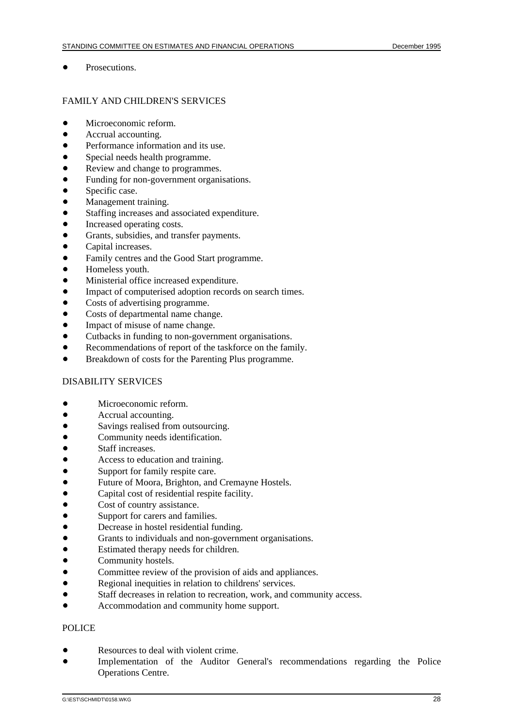$\bullet$ Prosecutions.

### FAMILY AND CHILDREN'S SERVICES

- $\bullet$ Microeconomic reform.
- $\bullet$ Accrual accounting.
- $\bullet$ Performance information and its use.
- $\bullet$ Special needs health programme.
- $\bullet$ Review and change to programmes.
- $\bullet$ Funding for non-government organisations.
- $\bullet$ Specific case.
- $\bullet$ Management training.
- $\bullet$ Staffing increases and associated expenditure.
- $\bullet$ Increased operating costs.
- $\bullet$ Grants, subsidies, and transfer payments.
- $\bullet$ Capital increases.
- $\bullet$ Family centres and the Good Start programme.
- $\bullet$ Homeless youth.
- $\bullet$ Ministerial office increased expenditure.
- $\bullet$ Impact of computerised adoption records on search times.
- $\bullet$ Costs of advertising programme.
- $\bullet$ Costs of departmental name change.
- $\bullet$ Impact of misuse of name change.
- $\bullet$ Cutbacks in funding to non-government organisations.
- $\bullet$ Recommendations of report of the taskforce on the family.
- $\bullet$ Breakdown of costs for the Parenting Plus programme.

#### DISABILITY SERVICES

- $\bullet$ Microeconomic reform.
- $\bullet$ Accrual accounting.
- $\bullet$ Savings realised from outsourcing.
- $\bullet$ Community needs identification.
- $\bullet$ Staff increases.
- $\bullet$ Access to education and training.
- $\bullet$ Support for family respite care.
- $\bullet$ Future of Moora, Brighton, and Cremayne Hostels.
- $\bullet$ Capital cost of residential respite facility.
- $\bullet$ Cost of country assistance.
- $\bullet$ Support for carers and families.
- $\bullet$ Decrease in hostel residential funding.
- $\bullet$ Grants to individuals and non-government organisations.
- $\bullet$ Estimated therapy needs for children.
- $\bullet$ Community hostels.
- $\bullet$ Committee review of the provision of aids and appliances.
- $\bullet$ Regional inequities in relation to childrens' services.
- $\bullet$ Staff decreases in relation to recreation, work, and community access.
- $\bullet$ Accommodation and community home support.

#### POLICE

- $\bullet$ Resources to deal with violent crime.
- $\bullet$  Implementation of the Auditor General's recommendations regarding the Police Operations Centre.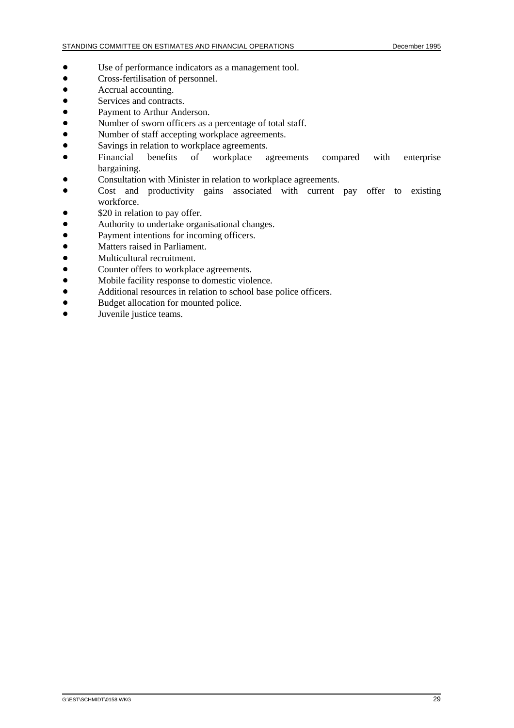- $\bullet$ Use of performance indicators as a management tool.
- $\bullet$ Cross-fertilisation of personnel.
- $\bullet$ Accrual accounting.
- $\bullet$ Services and contracts.
- $\bullet$ Payment to Arthur Anderson.
- $\bullet$ Number of sworn officers as a percentage of total staff.
- $\bullet$ Number of staff accepting workplace agreements.
- $\bullet$ Savings in relation to workplace agreements.<br>Financial benefits of workplace a
- $\bullet$ agreements compared with enterprise bargaining.
- $\bullet$ Consultation with Minister in relation to workplace agreements.
- $\bullet$  Cost and productivity gains associated with current pay offer to existing workforce.
- $\bullet$ \$20 in relation to pay offer.
- $\bullet$ Authority to undertake organisational changes.
- $\bullet$ Payment intentions for incoming officers.
- $\bullet$ Matters raised in Parliament.
- $\bullet$ Multicultural recruitment.
- $\bullet$ Counter offers to workplace agreements.
- $\bullet$ Mobile facility response to domestic violence.
- $\bullet$ Additional resources in relation to school base police officers.
- $\bullet$ Budget allocation for mounted police.
- $\bullet$ Juvenile justice teams.